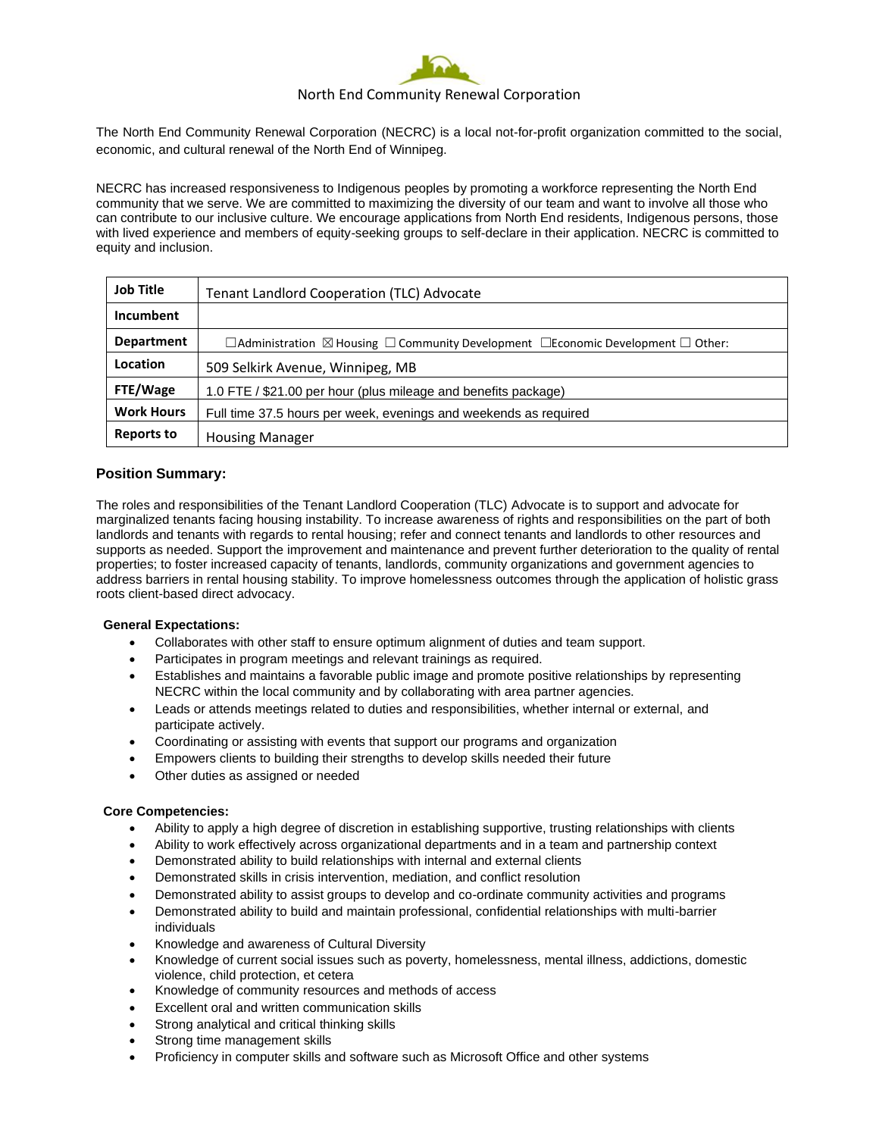

# North End Community Renewal Corporation

The North End Community Renewal Corporation (NECRC) is a local not-for-profit organization committed to the social, economic, and cultural renewal of the North End of Winnipeg.

NECRC has increased responsiveness to Indigenous peoples by promoting a workforce representing the North End community that we serve. We are committed to maximizing the diversity of our team and want to involve all those who can contribute to our inclusive culture. We encourage applications from North End residents, Indigenous persons, those with lived experience and members of equity-seeking groups to self-declare in their application. NECRC is committed to equity and inclusion.

| <b>Job Title</b>  | <b>Tenant Landlord Cooperation (TLC) Advocate</b>                                                                |
|-------------------|------------------------------------------------------------------------------------------------------------------|
| Incumbent         |                                                                                                                  |
| <b>Department</b> | $\Box$ Administration $\boxtimes$ Housing $\Box$ Community Development $\Box$ Economic Development $\Box$ Other: |
| Location          | 509 Selkirk Avenue, Winnipeg, MB                                                                                 |
| FTE/Wage          | 1.0 FTE / \$21.00 per hour (plus mileage and benefits package)                                                   |
| <b>Work Hours</b> | Full time 37.5 hours per week, evenings and weekends as required                                                 |
| <b>Reports to</b> | <b>Housing Manager</b>                                                                                           |

# **Position Summary:**

The roles and responsibilities of the Tenant Landlord Cooperation (TLC) Advocate is to support and advocate for marginalized tenants facing housing instability. To increase awareness of rights and responsibilities on the part of both landlords and tenants with regards to rental housing; refer and connect tenants and landlords to other resources and supports as needed. Support the improvement and maintenance and prevent further deterioration to the quality of rental properties; to foster increased capacity of tenants, landlords, community organizations and government agencies to address barriers in rental housing stability. To improve homelessness outcomes through the application of holistic grass roots client-based direct advocacy.

#### **General Expectations:**

- Collaborates with other staff to ensure optimum alignment of duties and team support.
- Participates in program meetings and relevant trainings as required.
- Establishes and maintains a favorable public image and promote positive relationships by representing NECRC within the local community and by collaborating with area partner agencies.
- Leads or attends meetings related to duties and responsibilities, whether internal or external, and participate actively.
- Coordinating or assisting with events that support our programs and organization
- Empowers clients to building their strengths to develop skills needed their future
- Other duties as assigned or needed

#### **Core Competencies:**

- Ability to apply a high degree of discretion in establishing supportive, trusting relationships with clients
- Ability to work effectively across organizational departments and in a team and partnership context
- Demonstrated ability to build relationships with internal and external clients
- Demonstrated skills in crisis intervention, mediation, and conflict resolution
- Demonstrated ability to assist groups to develop and co-ordinate community activities and programs
- Demonstrated ability to build and maintain professional, confidential relationships with multi-barrier individuals
- Knowledge and awareness of Cultural Diversity
- Knowledge of current social issues such as poverty, homelessness, mental illness, addictions, domestic violence, child protection, et cetera
- Knowledge of community resources and methods of access
- Excellent oral and written communication skills
- Strong analytical and critical thinking skills
- Strong time management skills
- Proficiency in computer skills and software such as Microsoft Office and other systems